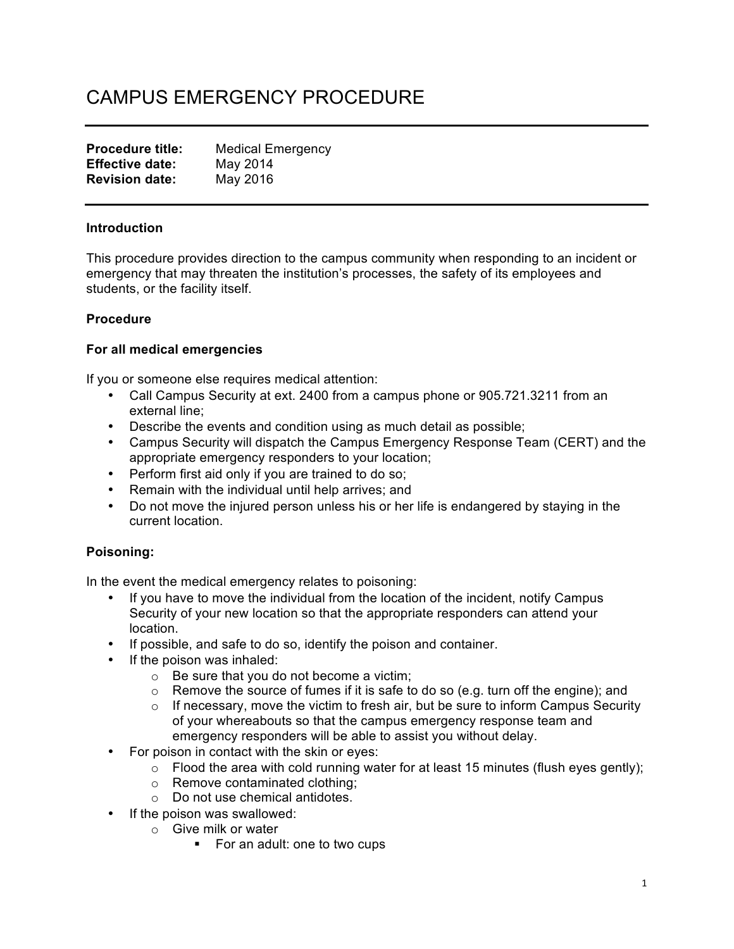# CAMPUS EMERGENCY PROCEDURE

| <b>Procedure title:</b> | <b>Medical Emergency</b> |
|-------------------------|--------------------------|
| <b>Effective date:</b>  | May 2014                 |
| <b>Revision date:</b>   | May 2016                 |

#### **Introduction**

This procedure provides direction to the campus community when responding to an incident or emergency that may threaten the institution's processes, the safety of its employees and students, or the facility itself.

## **Procedure**

## **For all medical emergencies**

If you or someone else requires medical attention:

- Call Campus Security at ext. 2400 from a campus phone or 905.721.3211 from an external line;
- Describe the events and condition using as much detail as possible;
- Campus Security will dispatch the Campus Emergency Response Team (CERT) and the appropriate emergency responders to your location;
- Perform first aid only if you are trained to do so;
- Remain with the individual until help arrives; and
- Do not move the injured person unless his or her life is endangered by staying in the current location.

## **Poisoning:**

In the event the medical emergency relates to poisoning:

- If you have to move the individual from the location of the incident, notify Campus Security of your new location so that the appropriate responders can attend your location.
- If possible, and safe to do so, identify the poison and container.
- If the poison was inhaled:
	- o Be sure that you do not become a victim;
	- $\circ$  Remove the source of fumes if it is safe to do so (e.g. turn off the engine); and
	- $\circ$  If necessary, move the victim to fresh air, but be sure to inform Campus Security of your whereabouts so that the campus emergency response team and emergency responders will be able to assist you without delay.
- For poison in contact with the skin or eyes:
	- $\circ$  Flood the area with cold running water for at least 15 minutes (flush eyes gently);
	- o Remove contaminated clothing;
	- o Do not use chemical antidotes.
- If the poison was swallowed:
	- o Give milk or water
		- For an adult: one to two cups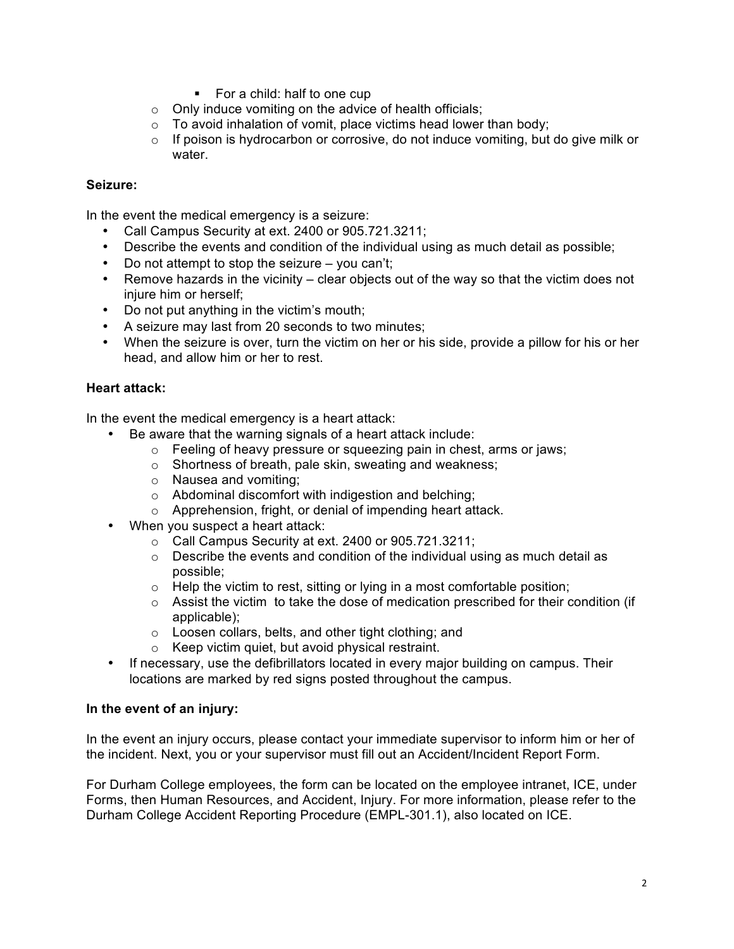- For a child: half to one cup
- $\circ$  Only induce vomiting on the advice of health officials;
- $\circ$  To avoid inhalation of vomit, place victims head lower than body;
- o If poison is hydrocarbon or corrosive, do not induce vomiting, but do give milk or water.

## **Seizure:**

In the event the medical emergency is a seizure:

- Call Campus Security at ext. 2400 or 905.721.3211;
- Describe the events and condition of the individual using as much detail as possible;
- Do not attempt to stop the seizure you can't;
- Remove hazards in the vicinity clear objects out of the way so that the victim does not injure him or herself;
- Do not put anything in the victim's mouth;
- A seizure may last from 20 seconds to two minutes;
- When the seizure is over, turn the victim on her or his side, provide a pillow for his or her head, and allow him or her to rest.

## **Heart attack:**

In the event the medical emergency is a heart attack:

- Be aware that the warning signals of a heart attack include:
	- $\circ$  Feeling of heavy pressure or squeezing pain in chest, arms or jaws;
	- o Shortness of breath, pale skin, sweating and weakness;
	- o Nausea and vomiting;
	- o Abdominal discomfort with indigestion and belching;
	- o Apprehension, fright, or denial of impending heart attack.
- When you suspect a heart attack:
	- o Call Campus Security at ext. 2400 or 905.721.3211;
	- $\circ$  Describe the events and condition of the individual using as much detail as possible;
	- $\circ$  Help the victim to rest, sitting or lying in a most comfortable position;
	- $\circ$  Assist the victim to take the dose of medication prescribed for their condition (if applicable);
	- o Loosen collars, belts, and other tight clothing; and
	- o Keep victim quiet, but avoid physical restraint.
- If necessary, use the defibrillators located in every major building on campus. Their locations are marked by red signs posted throughout the campus.

## **In the event of an injury:**

In the event an injury occurs, please contact your immediate supervisor to inform him or her of the incident. Next, you or your supervisor must fill out an Accident/Incident Report Form.

For Durham College employees, the form can be located on the employee intranet, ICE, under Forms, then Human Resources, and Accident, Injury. For more information, please refer to the Durham College Accident Reporting Procedure (EMPL-301.1), also located on ICE.